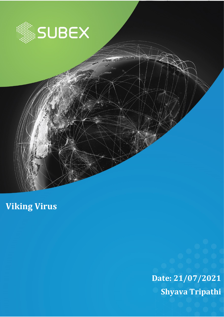

**Date: 21/07/2021 Shyava Tripathi** 

**Viking Virus**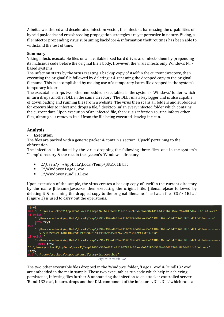Albeit a weathered and decelerated infection vector, file infectors harnessing the capabilities of hybrid payloads and crossbreeding propagation strategies are yet pervasive in nature. Viking, a file infector prepending virus subsuming backdoor & information theft routines has been able to withstand the test of time.

#### **Summary**

Viking infects executable files on all available fixed hard drives and infects them by prepending its malicious code before the original file's body. However, the virus infects only Windows NTbased systems.

The infection starts by the virus creating a backup copy of itself in the current directory, then executing the original file followed by deleting it & renaming the dropped copy to the original filename. This is accomplished by making use of a temporary batch file dropped in the system's temporary folder.

The executable drops two other embedded executables in the system's 'Windows' folder, which in turn drops another DLL in the same directory. The DLL runs a keylogger and is also capable of downloading and running files from a website. The virus then scans all folders and subfolders for executables to infect and drops a file, '\_desktop.ini' in every infected folder which contains the current date. Upon execution of an infected file, the virus's infection routine infects other files, although, it removes itself from the file being executed, leaving it clean.

# **Analysis**

#### - **Execution**

The files are packed with a generic packer & contain a section '.Upack' pertaining to the obfuscation.

The infection is initiated by the virus dropping the following three files, one in the system's 'Temp' directory & the rest in the system's 'Windows' directory.

- C:\Users\<>\AppData\Local\Temp\\$\$a1C1B.bat
- C:\Windows\Logo1\_exe
- C:\Windows\rundl132.exe

Upon execution of the sample, the virus creates a backup copy of itself in the current directory by the name [filename].exe.exe, then executing the original file, [filename].exe followed by deleting it & renaming the dropped copy to the original filename. The batch file, '\$\$a1C1B.bat' (Figure 1) is used to carry out the operations.



The two other executable files dropped in the 'Windows' folder, 'Logo1\_.exe' & 'rundl132.exe' are embedded in the main sample. These two executables run code which help in achieving persistence, infecting files further & announcing the infection to an attacker controlled server. 'Rundl132.exe', in turn, drops another DLL component of the infector, 'vDLL.DLL' which runs a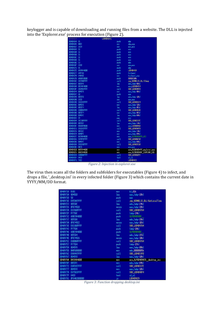keylogger and is capable of downloading and running files from a website. The DLL is injected into the 'Explorer.exe' process for execution (Figure 2).

| 0040A364             |                           | L0040A364:  |                                                               |
|----------------------|---------------------------|-------------|---------------------------------------------------------------|
| 0040A364             | 55                        | push        | ebp                                                           |
| 00408365             | 8BEC                      | HOV         | ebp,esp                                                       |
| 0040A367             | 3309                      | xor         | ecx, ecx                                                      |
| 0040A369             | 51                        | push        | ecx                                                           |
| 0040A36A             | 51                        | push        | ecx                                                           |
| 0040A36B             | 51                        | push        | ecx                                                           |
| 0040A36C             | 51                        | push        | ecx                                                           |
| 0040A36D             | 51                        | push        | ecx                                                           |
| 0040A36E             | 53                        | push        | ebx                                                           |
| 0040A36F             | 3300                      | xor         | eax <sub>+</sub> eax                                          |
| 00408371             | 55                        | push        | ebp                                                           |
| 0040A372             | 6839844000                | push        | L0040A439                                                     |
| 00408377             | 64FF30                    | push        | fs:[eax]                                                      |
| 0040A37A             | 648920                    | HOV         | fs:[eax],esp                                                  |
| 0040A37D             | 68D0070000                | push        | 00000700h                                                     |
| 0040A382             | E8C9A0FFFF                | call        | jnp_KERNEL32.DLL!Sleep                                        |
| 0040A387             | 8055F8                    | lea         | edx,[ebp-08h]                                                 |
| 0040A38A             | B854A44000                | HOV         | eax,LOO4OA454                                                 |
| 0040838F             | E864A7FFFF                | call        | SUB_L00404AF8                                                 |
| 0040A394             | 8B45F8                    | HOV         | eax,[ebp-08h]                                                 |
| 0040A397             | 50                        | push        | eax                                                           |
| 0040A398             | 8055F0                    | lea         | edx, [ebp-10h]                                                |
| 0040A39B             | 33CD                      | xor         | eax, eax                                                      |
| 0040A39D             | E82283FFFF                | call        | SUB L004026C4                                                 |
| 0040A3A2             | 8B45F0                    | HOV         | eax,[ebp-10h]                                                 |
| 0040A3A5             | 8D55F4                    | lea         | edx.lebp-DChl                                                 |
| 0040A3A8             | E88BA2FFFF                | call        | SUB L00404638                                                 |
| 0040A3AD             | 8B55F4                    | HOV         | edx,[ebp-OCh]                                                 |
| 0040A3B0             | 8045FC                    | lea         | eax,[ebp-04h]                                                 |
| 0040A3B3             | 59                        | pop         | ecx                                                           |
| 0040A3B4             | E8C38FFFFF                | call        | <b>SUB L0040337C</b>                                          |
| 0040R3B9             | 8055EC                    | lea         | edx,[ebp-14h]                                                 |
| 004083BC             | B868A44000                | HOV         | eax,LOO4OA468                                                 |
| 0040A3C1             | E832A7FFFF                | call        | SUB LOD404AF8                                                 |
| 0040A3C6             | 8B55EC                    | HOV         | edx, [ebp-14h]                                                |
| 0040A3C9             | 8B4DFC                    | HOV         | ecx,[ebp-04h]                                                 |
| 0040A3CC             | B878A44000                | HOV         | eax.SLPDD4OR478_dll                                           |
| 0040A3D1             | E87AFEFFFF                | call        | <b>SUB LOD40A250</b>                                          |
| 0040A3D6             | 8B45FC                    | HOV         | eax,[ebp-04h]                                                 |
| 0040A3D9             | E85291FFFF                | call        | SUB L00403530                                                 |
| 0040A3DE<br>0040A3E0 | <b>8BC8</b><br>BA7CA44000 | HOV         | ecx,eax                                                       |
| 0040A3E5             | B88CA44000                | HOV         | edx, SSZ0040R47C_explorer_exe<br>eax,SSZ0040A48C_IEXPLORE_EXE |
| 0040A3EA             | E80DBDFFFF                | HOV<br>call | SUB L004060FC                                                 |
| 0040A3EF             | <b>84CO</b>               | test        | al.al                                                         |
| 0040R3F1             | 7422                      | jz          | L0040R415                                                     |
|                      |                           |             |                                                               |

*Figure 2: Injection in explorer.exe*

The virus then scans all the folders and subfolders for executables (Figure 4) to infect, and drops a file, '\_desktop.ini' in every infected folder (Figure 3) which contains the current date in YYYY/MM/DD format.

| 00409718<br><b>B301</b>       | HOV    | b1.01h                        |
|-------------------------------|--------|-------------------------------|
| 0040971A<br>8045E0            | lea    | eax, [ebp-20h]                |
| 00409710<br>-50               | push   | eax                           |
| 0040971E<br><b>E855ACFFFF</b> | call   | jnp_KERNEL32.DLL!GetLocalTine |
| 00409723<br>8055DC            | lea    | edx, [ebp-24h]                |
| 00409726 0FB745E0             | HOVZX  | eax, [ebp-20h]                |
| 0040972A<br>E835B0FFFF        | call   | SUB_L00404764                 |
| 0040972F<br>FF75DC            | push   | [ebp-24h]                     |
| 00409732<br>68BC984000        | push.  | SLP004098BC                   |
| 00409737<br>805508            | lea    | edx, [ebp-28h]                |
| 0040973A 0FB745E2             | NSVON  | eax, [ebp-1Eh]                |
| 0040973E<br>E821BOFFFF        | call   | SUB L00404764                 |
| 00409743 FF75D8               | push   | [ebp-28h]                     |
| 00409746<br>68BC984000        | push   | SLP004098BC                   |
| 0040974B<br>805504            | lea    | edx, [ebp-2Ch]                |
| 0040974E<br>OFB745E6          | HOVZX. | eax, [ebp-1Ah]                |
| 00409752 E800B0FFFF           | call   | SUB L00404764                 |
| 00409757 FF7504               | push   | [ebp-2Ch]                     |
| 00409758<br>8045F8            | lea    | eax, [ebp-08h]                |
| 00409750<br><b>BA05000000</b> | HOV    | edx,00000005h                 |
| 00409762<br>E8899CFFFF        | call   | SUB L004033F0                 |
| 00409767 8D45F0               | lea    | eax, [ebp-10h]                |
| 0040976A<br>B9C8984000        | MOV    | ecx,SLP004098C8 desktop_ini   |
| 0040976F<br>8B55FC            | HOV    | edx, [ebp-04h]                |
| 00409772<br>E8059CFFFF        | call   | SUB_L0040337C                 |
| 00409777<br>8B45F0            | HOV    | eax, [ebp-10h]                |
| 0040977A<br>E875B1FFFF        | call   | SUB L004048F4                 |
| 0040977F<br>8400              | test   | al.al                         |
| 00409781<br>0F84R2000000      | jz     | L00409829                     |

*Figure 3: Function dropping desktop.ini*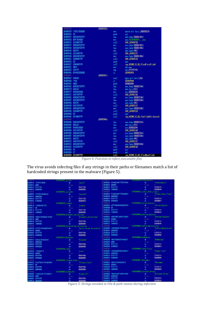| 00409920        |                       | L00409920: |            |                                     |
|-----------------|-----------------------|------------|------------|-------------------------------------|
|                 |                       |            | HOV        | duord ptr [esil,00000027h           |
| 00409926 56     |                       |            | push       | esi                                 |
|                 | 00409927 8D95B4FEFFFF |            | lea        | edx, [ebp=0000014Ch]                |
|                 | 00409920 B8FC9E4000   |            | <b>HOV</b> | eax, SSZ00409EFC exe                |
|                 | 00409932 E819REFFFF   |            | call       | SUB L00404750                       |
|                 | 00409937 8B8DB4FEFFFF |            | HOV        | ecx, [ebp-0000014Ch]                |
|                 | 0040993D 8D85B8FEFFFF |            | lea        | eax, [ebp-00000148h]                |
| 00409943 8B55FC |                       |            | HOV        | edx,[ebp-04h]                       |
|                 | 00409946 E8319RFFFF   |            | call       | SUB L0040337C                       |
|                 | 0040994B 8B85B8FEFFFF |            | HOV        | eax, [ebp-00000148h]                |
|                 | 00409951 E8DA9BFFFF   |            | call       | SUB L00403530                       |
| 00409956 50     |                       |            | push       | eax                                 |
|                 | 00409957 E8B4A9FFFF   |            | call       | jnp_KERNEL32.DLL!FindFirstFileA     |
| 0040995C 8BF8   |                       |            |            |                                     |
| 0040995E 83FFFF |                       |            | HOV        | edi,eax                             |
|                 |                       |            | CHD        | edi, FFFFFFFFh                      |
|                 | 00409961 0F8482000000 |            | jz         | L004099E9                           |
| 00409967        |                       | L00409967: |            |                                     |
| 00409967 F60601 |                       |            | test       | byte ptr [esi],D1h                  |
| 0040996A 743A   |                       |            | jz         | L004099R6                           |
| 0040996C 6A00   |                       |            | push       | 00000000h                           |
|                 | 0040996E 8D85ACFEFFFF |            | lea        | eax, [ebp=00000154h]                |
| 00409974 805620 |                       |            | lea        | edx.lesi+2Chl                       |
|                 | 00409977 8904010000   |            | HOV        | ecx,00000104h                       |
|                 | 0040997C E89799FFFF   |            | call       | SUB L00403318                       |
|                 | 00409981 8B8DACFEFFFF |            | HOV        | ecx, [ebp-00000154h]                |
|                 | 00409987 8D85B0FEFFFF |            | lea        | eax, [ebp-00000150h]                |
| 00409980 8B55FC |                       |            | HOV        | edx, [ebp-04h]                      |
|                 | 00409990 E8E799FFFF   |            | call       | SUB L0040337C                       |
|                 | 00409995 8B85B0FEFFFF |            | HOV        | eax.[ebp-00000150h]                 |
|                 | 0040999B E8909BFFFF   |            | call       | SUB L00403530                       |
| 004099A0 50     |                       |            | push       | eax                                 |
|                 | 004099R1 E87ARRFFFF   |            | call       | inp KERNEL32.DLL!SetFileAttributesA |
| 00409986        |                       | L004099A6: |            |                                     |
|                 | 00409986 8D8584FEFFFF |            | lea        | eax, [ebp-0000015Ch]                |
| 004099RC        | 805620                |            | lea        | edx, [esi+2Ch]                      |
|                 | 004099AF B904010000   |            | HOV        | ecx,00000104h                       |
|                 | 004099B4 E85F99FFFF   |            | call       | SUB L00403318                       |
|                 | 004099B9 8B8DA4FEFFFF |            | <b>HOV</b> | ecx, [ebp-0000015Ch]                |
|                 | 004099BF 8D85A8FEFFFF |            | lea        | eax, [ebp-00000158h]                |
| 004099C5 8B55FC |                       |            | <b>MOV</b> | edx, [ebp-04h]                      |
|                 | 004099C8 E8RF99FFFF   |            | call       | SUB L0040337C                       |
| 004099CD        | 8B85A8FEFFFF          |            | HOV        | eax,[ebp=00000158h]                 |
|                 | 004099D3 E838FBFFFF   |            | call       | SUB L00409510                       |
| 00409908 56     |                       |            | push       | esi                                 |
| 00409909 57     |                       |            | push       | edi                                 |
|                 | 004099DA E839A9FFFF   |            | call       | inp KERNEL32.DLL!FindNextFileA      |
|                 |                       |            |            |                                     |

*Figure 4: Function to infect executable files*

The virus avoids infecting files if any strings in their paths or filenames match a list of hardcoded strings present in the malware (Figure 5).

| 00409F4C        |                                                     | SLPDD4D9F4C_system:                                      |                             |                 | UD4DHD14____________________________SLPUU4UHU14_HindousUpdate: |                                   |                        |
|-----------------|-----------------------------------------------------|----------------------------------------------------------|-----------------------------|-----------------|----------------------------------------------------------------|-----------------------------------|------------------------|
|                 | 00409F4C 737973746560                               | db                                                       | "susten"                    |                 | 0040A014 57696E646F7773557064+                                 | db.<br><b>TALL</b>                | "WindowsUpdate"        |
| 00409F52 0000   |                                                     | Align                                                    |                             | 0040A021 000000 |                                                                | Align                             | $4 -$                  |
|                 | 00409F54 FFFFFFFF                                   | dd                                                       | <b>FFFFFFFFFh</b>           |                 | 0040A024 FFFFFFFF                                              | dd -                              | <b>FFFFFFFFFh</b>      |
|                 | 00409F58 08000000                                   | dd                                                       | 00000008h                   |                 | 0040A028 14000000                                              | dd                                | 00000014h              |
| 00409F5C        |                                                     | SLP00409F5C_system32:                                    |                             | 0040A02C        |                                                                | SLP0040A02C_Hindows_Media_Player: |                        |
|                 | 00409F5C 7379737465603332                           | db                                                       | "susteri32"                 |                 | 0040A02C 57696E646F7773204065+                                 | db <sup>1</sup>                   | "Windows Media Player" |
|                 | 00409F64 00000000                                   | Alian                                                    |                             |                 | 0040A040 00000000                                              | Align                             | -8                     |
|                 | 00409F68 FFFFFFFF                                   | dd                                                       | <b>FFFFFFFFFh</b>           |                 | 0040A044 FFFFFFFF                                              | dd                                | FFFFFFFFh              |
|                 | 00409F6C 07000000                                   | dd                                                       | 00000007h                   |                 | 0040A048 0F000000                                              | dd                                | 0000000Fh              |
| 00409F70        |                                                     | SLP00409F70_uindous:                                     |                             | 0040A04C        |                                                                | SLP0040A04C_Out look_Express:     |                        |
|                 | 00409F70 77696E646F7773                             | db.                                                      | "uindous"                   |                 | 0040A04C 4F75746C6F6F6B204578+                                 | db.                               | "Out look Express"     |
| 00409F77 00     |                                                     | Align                                                    | $4 -$                       | 0040A05B 00     |                                                                | Align                             |                        |
|                 | 00409F78 FFFFFFFF                                   | dd                                                       | <b>FFFFFFFFFh</b>           |                 | 0040A05C FFFFFFFF                                              | dd.                               | <b>FFFFFFFFFh</b>      |
|                 | 00409F7C 16000000                                   |                                                          | 00000016h                   |                 | 0040A060 11000000                                              | dd                                | 00000011h              |
| 00409F80        |                                                     | odd dd 00000016<br>- SLP00409F80_Documents_and_Settings: |                             | 0040A064        |                                                                | SLP0040A064_Internet_Explorer:    |                        |
|                 | 00409F80 446F63756D656E747320+                      | db.                                                      | 'Documents and Settings'    |                 | 00408064 496E7465726E65742045+                                 | db.                               | 'Internet Explorer'    |
| 00409F96 0000   |                                                     | Align                                                    |                             | 0040A075 000000 |                                                                | Alian                             |                        |
|                 | 00409F98 FFFFFFFF                                   | dd                                                       | <b>FFFFFFFFFh</b>           |                 | 0040A078 FFFFFFFF                                              | dd.                               | <b>FFFFFFFFFh</b>      |
|                 | 00409F9C 19000000                                   | dd                                                       | 00000019h                   |                 | 0040A07C 14000000                                              | dd                                | 00000014h              |
| 00409FA0        |                                                     | SLP00409FAO_System_Volume_Information:                   |                             | 00408080        |                                                                | SLP0040A080_ConPlus_Applications: |                        |
|                 | 00409FA0 53797374656020566F6C+                      |                                                          | "System Volume Information" |                 | 0040A080 436F60506C7573204170+                                 | db                                | "ComPlus Applications" |
| 00409FB9 000000 |                                                     | in a shekarar 1990<br>Balance a shekarar 1990<br>Align   |                             |                 | 0040A094 00000000                                              | Align                             |                        |
|                 | 00409FBC FFFFFFFF                                   | dd                                                       |                             |                 | 0040A098 FFFFFFFF                                              | dd.                               | <b>FFFFFFFFFh</b>      |
|                 |                                                     | dd                                                       | <b>FFFFFFFFFh</b>           |                 | 0040A09C 0A000000                                              | dd                                | 0000000Ah              |
| 00409FC4        | 00409FC0 08000000                                   |                                                          | 00000008h                   | 0040A0A0        | slpoodoo<br> FFFFFFF<br> 000000                                | SLP0040A0A0 NetHeeting:           |                        |
|                 |                                                     | SLP00409FC4 Recycled:                                    |                             |                 | 0040A0A0 4E65744D656574696E67                                  | db.                               |                        |
|                 | 00409FC4 52656379636C6564                           | db.                                                      | "Recycled"                  | 0040A0AA 0000   |                                                                | Align                             | "Net Meet ing"         |
|                 | 00409FCC 00000000<br>00409FD0 FFFFFFFF              | Alian<br>dd                                              | $4 - 1$                     |                 | 0040A0AC FFFFFFFF                                              | dd                                | <b>FEFFFFFFFh</b>      |
|                 |                                                     | dd                                                       | <b>FFFFFFFFFh</b>           |                 | 0040A0B0 0C000000                                              | dd                                | 0000000Ch              |
|                 | 00409FD4 05000000                                   |                                                          | 00000005h                   | 0040A0B4        |                                                                | SLP0040A0B4_Connon_Files:         |                        |
| 00409FD8        |                                                     | SLP00409FD8_u.innt:                                      |                             |                 | 0040A0B4 436F6D6D6F6E2046696C+                                 | db.                               | "Connon Files"         |
|                 | 00409FD8 77696E6E74                                 | db                                                       | $^{\circ}$ uinnt $^{\circ}$ |                 | 0040A0CO 00000000                                              | Alian                             | $8 -$                  |
| 00409FDD 000000 |                                                     | Align                                                    |                             |                 | 0040A0C4 FFFFFFFF                                              | dd                                | FFFFFFFFh              |
|                 | 00409FE0 FFFFFFFF                                   | dd                                                       | <b>FFFFFFFFFh</b>           |                 |                                                                | dd                                |                        |
|                 | 00409FE4 0F000000                                   | dd                                                       | 0000000Fh                   | 0040A0CC        | 0040A0C8 09000000                                              |                                   | 00000009h              |
| 00409FE8        |                                                     | SLP00409FE8_Program_Files_:                              |                             |                 |                                                                | SLP0040AOCC_Messenger:<br>db.     |                        |
|                 | 00409FE8 5C50726F677261602046+                      | db                                                       | "\Program Files\"           |                 | 0040A0CC 4D657373656E676572                                    |                                   | "Messenger"            |
| 00409FF7 00     |                                                     | Align                                                    |                             | 0040A0D5 000000 |                                                                | Alian                             |                        |
|                 | 00409FF8 FFFFFFFF                                   | dd                                                       | <b>FFFFFFFFFh</b>           |                 | 0040A0D8 FFFFFFFF                                              | dd                                | <b>FFFFFFFFFh</b>      |
|                 | 00409FFC 0R000000                                   | dd                                                       | 0000000Rh                   |                 | 0040A0DC 10000000                                              | dd                                | 00000010h              |
| 00408000        | <b>COUDD</b><br><b>OLGOGET222388.000 PM CLGOGET</b> | SLP0040R000_Hindous_NT:                                  |                             | 0040A0E0        |                                                                | SLP0040A0E0_Microsoft_Office:     |                        |
|                 | 0040A000 57696E646F7773204E54                       | db                                                       | "Hindous NT"                |                 | 0040A0E0 406963726F736F667420+                                 | db.                               | "Microsoft Office"     |
| 0040A00A 0000   |                                                     | Align                                                    |                             |                 | 0040A0F0 00000000                                              | Align                             | 8.                     |
|                 | 0040A00C FFFFFFFF                                   | dd                                                       | <b>FFFFFFFFFh</b>           |                 | 0040A0F4 FFFFFFFF                                              | dd                                | <b>FFFFFFFFFh</b>      |
|                 | 00408010 00000000                                   | dd.                                                      | <b>MANAMARK</b>             |                 | 0040A0F8 26000000                                              | dd                                | 00000026h              |

*Figure 5: Strings avoided in File & path names during infection*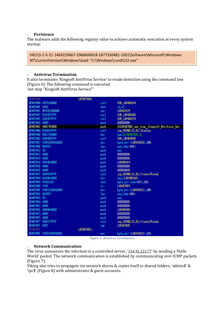#### - **Peristence**

The malware adds the following registry value to achieve automatic execution at every system startup:

HKU\S-1-5-21-1469219667-2966600018-1877350481-1001\Software\Microsoft\Windows NT\CurrentVersion\Windows\load: "C:\Windows\rundl132.exe"

#### - **Antivirus Termination**

It also terminates 'Kingsoft AntiVirus Service' to evade detection using the command line (Figure 6). The following command is executed: 'net stop "Kingsoft AntiVirus Service"'

| 00407888          |                       | L00407A8A: |            |                                             |
|-------------------|-----------------------|------------|------------|---------------------------------------------|
|                   | 00407A8A E8F5260000   |            | call       | SUB LO040A184                               |
| 0040788F 84CO     |                       |            | test       | al,al                                       |
|                   | 00407A91 0F85E2000000 |            | jnz.       | L00407B79                                   |
|                   | 00407A97 E83CECFFFF   |            | call       | SUB L004066D8                               |
|                   | 00407A9C E8B3E7FFFF   |            | call       | SUB L00406254                               |
| 00407AA1 6A00     |                       |            | push       | 00000000h                                   |
|                   | 00407AA3 68BC7B4000   |            | push       | SSZ00407BBC_net_stop_Kingsoft_AntiVirus_Ser |
|                   | 00407AA8 E8CBC9FFFF   |            | call       | JHP_KERNEL32.DLL!HinExec                    |
|                   | 00407AAD B8EC7B4000   |            | <b>HOV</b> | eax, SLP00407BEC_6_                         |
|                   | 00407AB2 E8D9D0FFFF   |            | call       | SUB L00404B90                               |
|                   |                       |            | HOV        | byte ptr [L00419020],00h                    |
| 00407ABE 8D45FC   |                       |            | lea        | eax, [ebp-04h]                              |
| 00407AC1 50       |                       |            | push       | eax                                         |
| 00407AC2 6A00     |                       |            | push       | 00000000h                                   |
| 00407AC4 6A00     |                       |            | push.      | 00000000h                                   |
|                   | 00407AC6 6864A34000   |            | push.      | L0040A364                                   |
| 00407ACB 6A00     |                       |            | push.      | 00000000h                                   |
| 00407ACD 6A00     |                       |            | push.      | 00000000h                                   |
|                   | 00407ACF E804C8FFFF   |            | call       | JHD KERNEL32.DLL!CreateThread               |
|                   |                       |            | <b>MOV</b> | eax. [L0040B160]                            |
| 00407AD9 F6401C01 |                       |            | test       | byte ptr [eax+1Ch],01h                      |
| 00407ADD 741F     |                       |            | jz         | L00407AFE                                   |
|                   |                       |            | HOV        | byte ptr [L00419021],00h                    |
| 00407AE6 8D45F8   |                       |            | lea        | eax, [ebp-08h]                              |
| 00407AE9 50       |                       |            | push       | eax                                         |
| 00407AEA 6A00     |                       |            | push.      | 00000000h                                   |
| 00407AEC 6A00     |                       |            | push.      | 00000000h                                   |
|                   | 00407AEE 68A8A44000   |            | push       | L0040A4A8                                   |
| 00407AF3 6A00     |                       |            | push       | 00000000h                                   |
| 00407AF5 6A00     |                       |            | push       | 00000000h                                   |
|                   | 00407AF7 E8DCC7FFFF   |            | call       | jnp_KERNEL32.DLL!CreateThread               |
| 00407AFC EB07     |                       |            | jnp        | L00407B05                                   |
| 00407AFE          |                       | L00407AFE: |            |                                             |
|                   |                       |            | HOV        | byte ptr [100419021],01h                    |

*Figure 6: Antivirus Termination*

#### - **Network Communication**

The virus announces the infection to a controlled server, '[154.92.223.77](https://www.virustotal.com/gui/ip-address/154.92.223.77)' by sending a 'Hello World' packet. The network communication is established by communicating over ICMP packets (Figure 7).

Viking also tries to propagate via network shares & copies itself to shared folders, 'admin\$' & 'ipc\$' (Figure 8) with administrator & guest accounts.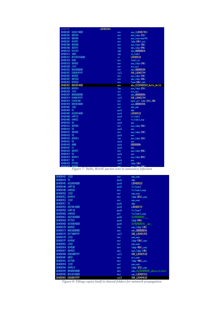| 004083AC |                   | L004083AC: |                             |
|----------|-------------------|------------|-----------------------------|
| 004083RC | R1E8C74000        | HOV        | eax, [L004007E8]            |
| 004083B1 | 8B55D4            | HOV        | edx,[ebp-2Ch]               |
| 004083B4 | 880490            | HOV        | eax, [eax+edx*4]            |
| 004083B7 | 8945FC            | HOV        | Tebp-04h1,eax               |
| 004083BA | 8B45D0            | HOV        | eax, [ebp-30h]              |
| 004083BD | 8055FC            | lea        | edx, [ebp-04h]              |
| 00408300 | 830203            | add        | edx,00000003h               |
| 00408303 | 3A02              | CHD        | al, [edx]                   |
| 00408305 | 0F845F010000      | jz         | L0040852A                   |
| 004083CB | 8802              | HOV        | [edx],al                    |
| 00408300 | 8B45DC            | HOV        | eax, [ebp-24h]              |
| 00408300 | 3309              | xor        | ecx, ecx                    |
| 00408302 | BA20000000        | HOV        | edx,00000020h               |
| 00408307 | E8B8A3FFFF        | call       | SUB L00402794               |
| 004083DC | 8B45DC            | HOV        | eax,[ebp-24h]               |
| 004083DF | 8B55E0            | HOV        | edx. [ebp-20h]              |
| 004083E2 | 895010            | HOV        | leax+10hl,edx               |
| 004083E5 | BBD4854000        | HOV        | ebx,SSZ004085D4_Hello_Horld |
| 004083EA | 8045E4            | lea        | eax,[ebp-1Ch]               |
| 004083ED | 3309              | xor        | ecx,ecx                     |
| 004083EF | <b>BA08000000</b> | HOV        | edx,00000008h               |
| 004083F4 | E89BA3FFFF        | call       | SUB_L00402794               |
| 004083F9 | C645E440          | HOV        | byte ptr [ebp-1Ch],40h      |
| 004083FD | B8E8030000        | HOV        | eax.000003E8h               |
| 00408402 | 3302              | xor        | edx,edx                     |
| 00408404 | 55                | push       | ebp                         |
| 00408405 | 6820854000        | push       | L00408520                   |
| 0040840A | 64FF32            | push       | fs:Tedx1                    |
| 00408400 | 648922            | HOV        | fs:[edx],esp                |
| 00408410 | 50                | push       | eax                         |
| 00408411 | 8B45D8            | HOV        | eax,[ebp-28h]               |
| 00408414 | 50                | push       | eax                         |
| 00408415 | 8B45DC            | HOV        | eax, [ebp-24h]              |
| 00408418 | 50                | push       | eax                         |
| 00408419 | 8045E4            | lea        | eax,[ebp-1Ch]               |
| 00408410 | 50                | push       | eax                         |
| 00408410 | 6A0B              | push       | 0000000Bh                   |
| 0040841F | 53                | push       | ebx                         |
| 00408420 | 8B45FC            | HOV        | eax,[ebp-04h]               |
| 00408423 | 50                | push       | eax                         |
| 00408424 | 8B45F4            | HOV        | eax,[ebp-OCh]               |
| 00408427 | 50                | push       | eax                         |
| 00408428 | FF55EC            | call       | [ebp-14h]                   |

*Figure 7: 'Hello\_World' packet sent to announce infection*

| 00408942 | 3300        | xor  | eax, eax                      |
|----------|-------------|------|-------------------------------|
| 00408944 | 55          | push | ebp                           |
| 00408945 | 6810804000  | push | L00408010                     |
| 0040894A | 64FF30      | push | fs:[eax]                      |
| 00408940 | 648920      | HOV  | fs:[eax],esp                  |
| 00408950 | 3300        | xor  | eax <sub>s</sub> eax          |
| 00408952 | 8945F4      | HOV  | [ebp-OCh],eax                 |
| 00408955 | 3300        | xor  | eax <sub>s</sub> eax          |
| 00408957 | 55          | push | ebp                           |
| 00408958 | 6809804000  | push | L00408CC9                     |
| 00408950 | 64FF30      | push | fs:[eax]                      |
| 00408960 | 648920      | HOV  | fs:[eax],esp                  |
| 00408963 | 6820804000  | push | SLP0040802C                   |
| 00408968 | FF75FC      | push | [ebp-04h]                     |
| 0040896B | 6838804000  | push | SLP00408038_ipc_              |
| 00408970 | 8045EC      | lea: | eax,[ebp-14h]                 |
| 00408973 | BA03000000  | HOV  | edx,00000003h                 |
| 00408978 | E873AAFFFFF | call | SUB L004033F0                 |
| 00408970 | 3300        | xor  | eax, eax                      |
| 0040897F | 8945AC      | HOV  | [ebp-54h],eax                 |
| 00408982 | 3300        | xor  | eax <sub>s</sub> eax          |
| 00408984 | 894588      | HOV  | lebp-48hl.eax                 |
| 00408987 | 8B45EC      | HOV  | eax, [ebp-14h]                |
| 0040898A | E8A1ABFFFF  | call | SUB L00403530                 |
| 0040898F | 8BF0        | HOV  | esi,eax                       |
| 00408991 | 8975BC      | HOV  | [ebp-44h].esi                 |
| 00408994 | 3300        | xor  | eax, eax                      |
| 00408996 | 894504      | HOV  | [ebp-3Ch],eax                 |
| 00408999 | BA408D4000  | HOV  | edx,SSZ00408D40_administrator |
| 0040899E | B814C84000  | HOV  | eax.L00400814                 |
| 004089A3 | E868BCFFFF  | call | SUB L00404610                 |

*Figure 8: Viking copies itself to shared folders for network propagation*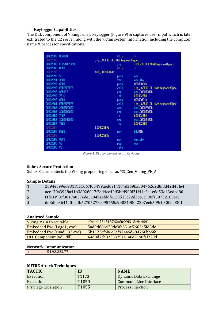# - **Keylogger Capabilities**

The DLL component of Viking runs a keylogger (Figure 9) & captures user input which is later exfiltrated to the C2 server, along with the victim system information including the computer name & processor specifications.

| 00402885 | 804000       |                                 | Align           | 4                              |
|----------|--------------|---------------------------------|-----------------|--------------------------------|
| 00402888 |              | jnp USER32.DLL!GetKeyboardType: |                 |                                |
| 00402888 | FF2540A14100 |                                 | jnp.            | [USER32.DLL!GetKeyboardType]   |
| 0040288E | 8800         |                                 | Alian           | 4                              |
| 00402890 |              | SUB_L00402890:                  |                 |                                |
| 00402890 | 53           |                                 | push.           | ebx                            |
| 00402891 | 33DB         |                                 | xor             | ebx,ebx                        |
| 00402893 | 6A00         |                                 | push.           | 00000000h                      |
| 00402895 | E8EEFFFFFF   |                                 | call            | jnp_USER32.DLL!GetKeyboardType |
| 0040289A | 83F807       |                                 | CHD             | eax,00000007h                  |
| 00402890 | 7510         |                                 | jnz.            | L004028BB                      |
| 0040289F | 6A01         |                                 | push.           | 00000001h                      |
| 004028R1 | E8E2FFFFFFF  |                                 | call            | jnp_USER32.DLL!GetKeyboardType |
| 004028A6 | 2500FF0000   |                                 | and             | eax.0000FF00h                  |
| 004028AB | 3000000000   |                                 | CHD             | eax,00000000h                  |
| 004028B0 | 7407         |                                 | jz.             | L004028B9                      |
| 004028B2 | 3D00040000   |                                 | CH <sub>D</sub> | eax.00000400h                  |
| 004028B7 | 7502         |                                 | jnz             | L004028BB                      |
| 004028B9 |              | L004028B9:                      |                 |                                |
| 004028B9 | <b>B301</b>  |                                 | HOV             | b1,01h                         |
| 004028BB |              | L004028BB:                      |                 |                                |
| 004028BB | 8803         |                                 | HOV             | eax, ebx                       |
| 004028BD | 58           |                                 | pop             | ebx                            |
| 004028BE | C3           |                                 | retn            |                                |
|          |              |                                 |                 |                                |

*Figure 9: DLL component runs a Keylogger*

#### **Subex Secure Protection**

Subex Secure detects the Viking prepending virus as 'SS\_Gen\_Viking\_PE\_A'.

#### **Sample Details**

|          | 2694e399ed931a811067f05499aed0e14184d369ba50476262d8f3d42ff43fe4 |
|----------|------------------------------------------------------------------|
| <u>.</u> | ace170a3928a41b38026017f5cd4ec42d3bfd900f21f44c2a1e6d53d13edad80 |
| ັ.       | f1fe3a98cf3017a037ede5104baefddfe120513c22d3cc6c398fa50732103ec1 |
|          | dd3dbe3b41afffedfb52705278c095755a99031900f2397eeb509eb30f9e0301 |

#### **Analysed Sample**

| Viking Main Executable      | $0.19$ eade $75e518762$ affc $09f318c944f$ ef |
|-----------------------------|-----------------------------------------------|
| Embedded Exe (Logo1_exe)    | 5ad9d686420dc3fa331af7603a5fd3de              |
| Embedded Exe (rundl132.exe) | 5b1123cfbb6e5ef974a6d484766bb6fe              |
| DLL Component (vdll.dll)    | 44d0d7cb8233379ae1a0e2190faf720d              |

### **Network Communication**

| . . | 0.00.77<br>107. <i>04.440.11</i> |
|-----|----------------------------------|
|     |                                  |

# **MITRE Attack Techniques**

| <b>TACTIC</b>               | ID                | <b>NAME</b>              |
|-----------------------------|-------------------|--------------------------|
| Execution                   | T <sub>1173</sub> | Dynamic Data Exchange    |
| Execution                   | T1059             | Command Line Interface   |
| <b>Privilege Escalation</b> | T1055             | <b>Process Injection</b> |